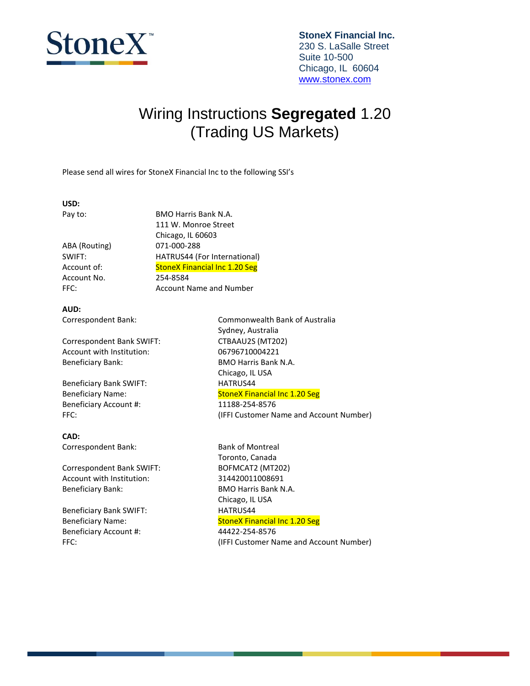

### Wiring Instructions **Segregated** 1.20 (Trading US Markets)

Please send all wires for StoneX Financial Inc to the following SSI's

#### **USD:**

ABA (Routing) 071-000-288 Account No. 254-8584

Pay to: BMO Harris Bank N.A. 111 W. Monroe Street Chicago, IL 60603 SWIFT: HATRUS44 (For International) Account of: StoneX Financial Inc 1.20 Seg FFC: Account Name and Number

**AUD:**

Correspondent Bank SWIFT: CTBAAU2S (MT202) Account with Institution: 06796710004221 Beneficiary Bank: BMO Harris Bank N.A.

Beneficiary Bank SWIFT: HATRUS44 Beneficiary Account #: 11188-254-8576

**CAD:** Correspondent Bank: Bank of Montreal

Correspondent Bank SWIFT: BOFMCAT2 (MT202) Account with Institution: 314420011008691 Beneficiary Bank: BBMO Harris Bank N.A.

Beneficiary Bank SWIFT: HATRUS44 Beneficiary Account #: 44422-254-8576

Correspondent Bank: Commonwealth Bank of Australia Sydney, Australia Chicago, IL USA Beneficiary Name: StoneX Financial Inc 1.20 Seg FFC: (IFFI Customer Name and Account Number)

Toronto, Canada Chicago, IL USA Beneficiary Name: StoneX Financial Inc 1.20 Seg FFC: (IFFI Customer Name and Account Number)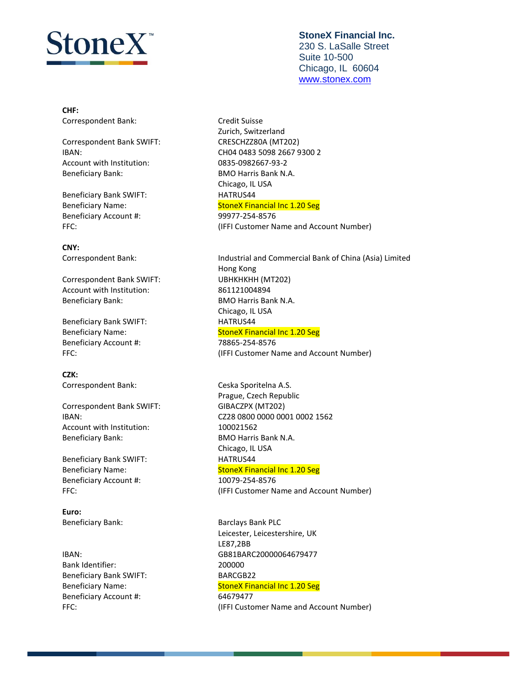# toneX"

**CHF:** Correspondent Bank: Correspondent Bank:

Correspondent Bank SWIFT: CRESCHZZ80A (MT202) Account with Institution: 0835-0982667-93-2 Beneficiary Bank: BBMO Harris Bank N.A.

Beneficiary Bank SWIFT: HATRUS44 Beneficiary Account #: 99977-254-8576

**CNY:**

Correspondent Bank SWIFT: UBHKHKHH (MT202) Account with Institution: 861121004894 Beneficiary Bank: BMO Harris Bank N.A.

Beneficiary Bank SWIFT: HATRUS44 Beneficiary Account #: 78865-254-8576

**CZK:** Correspondent Bank: Ceska Sporitelna A.S.

Correspondent Bank SWIFT: GIBACZPX (MT202) Account with Institution: 100021562 Beneficiary Bank: BBMO Harris Bank N.A.

Beneficiary Bank SWIFT: HATRUS44 Beneficiary Account #: 10079-254-8576

**Euro:**

Bank Identifier: 200000 Beneficiary Bank SWIFT: BARCGB22 Beneficiary Account #: 64679477

#### **StoneX Financial Inc.** 230 S. LaSalle Street Suite 10-500 Chicago, IL 60604 [www.stonex.com](http://www.stonex.com/)

Zurich, Switzerland IBAN: CH04 0483 5098 2667 9300 2 Chicago, IL USA Beneficiary Name: StoneX Financial Inc 1.20 Seg FFC:  $(IFFI Customer Name and Account Number)$ 

Correspondent Bank: Industrial and Commercial Bank of China (Asia) Limited Hong Kong Chicago, IL USA Beneficiary Name: StoneX Financial Inc 1.20 Seg FFC: (IFFI Customer Name and Account Number)

Prague, Czech Republic IBAN: CZ28 0800 0000 0001 0002 1562 Chicago, IL USA Beneficiary Name: StoneX Financial Inc 1.20 Seg FFC:  $(IFFI Customer Name and Account Number)$ 

Beneficiary Bank: Banclays Bank PLC Leicester, Leicestershire, UK LE87,2BB IBAN: GB81BARC20000064679477 Beneficiary Name: StoneX Financial Inc 1.20 Seg FFC:  $(IFFI Customer Name and Account Number)$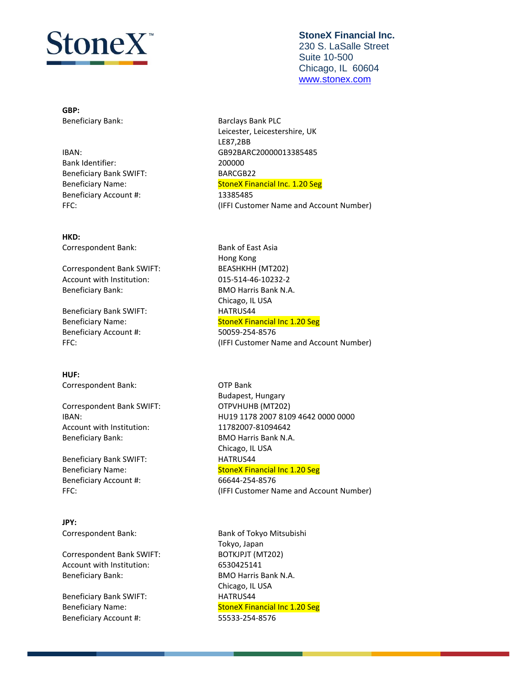# $\rm{Home}X^*$

**GBP:**

### Bank Identifier: 200000 Beneficiary Bank SWIFT: BARCGB22 Beneficiary Account #: 13385485

#### **HKD:**

Correspondent Bank: Bank of East Asia

Correspondent Bank SWIFT: BEASHKHH (MT202) Account with Institution: 015-514-46-10232-2 Beneficiary Bank: BBMO Harris Bank N.A.

Beneficiary Bank SWIFT: HATRUS44 Beneficiary Account #: 50059-254-8576

**HUF:** Correspondent Bank: OTP Bank

Correspondent Bank SWIFT: OTPVHUHB (MT202) Account with Institution: 11782007-81094642 Beneficiary Bank: BBMO Harris Bank N.A.

Beneficiary Bank SWIFT: HATRUS44 Beneficiary Account #: 66644-254-8576

**JPY:**

Correspondent Bank SWIFT: BOTKJPJT (MT202) Account with Institution: 6530425141 Beneficiary Bank: BMO Harris Bank N.A.

Beneficiary Bank SWIFT: HATRUS44 Beneficiary Account #: 55533-254-8576

#### **StoneX Financial Inc.** 230 S. LaSalle Street Suite 10-500 Chicago, IL 60604 [www.stonex.com](http://www.stonex.com/)

Beneficiary Bank: Banclays Bank PLC Leicester, Leicestershire, UK LE87,2BB IBAN: GB92BARC20000013385485 Beneficiary Name: StoneX Financial Inc. 1.20 Seg FFC: (IFFI Customer Name and Account Number)

Hong Kong Chicago, IL USA Beneficiary Name: StoneX Financial Inc 1.20 Seg FFC:  $(IFFI Customer Name and Account Number)$ 

Budapest, Hungary IBAN: HU19 1178 2007 8109 4642 0000 0000 Chicago, IL USA Beneficiary Name: StoneX Financial Inc 1.20 Seg FFC:  $(IFFI Customer Name and Account Number)$ 

Correspondent Bank: Bank of Tokyo Mitsubishi Tokyo, Japan Chicago, IL USA Beneficiary Name: StoneX Financial Inc 1.20 Seg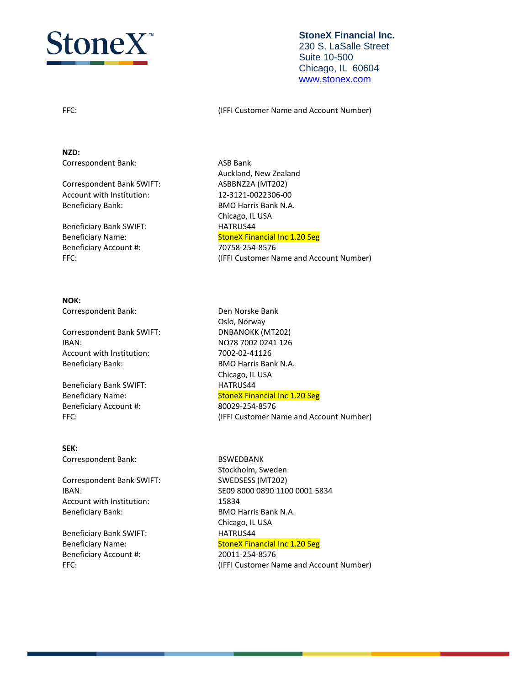

#### **StoneX Financial Inc.** 230 S. LaSalle Street Suite 10-500 Chicago, IL 60604 [www.stonex.com](http://www.stonex.com/)

FFC: (IFFI Customer Name and Account Number)

**NZD:** Correspondent Bank: ASB Bank

Correspondent Bank SWIFT: ASBBNZ2A (MT202) Account with Institution: 12-3121-0022306-00 Beneficiary Bank: BBMO Harris Bank N.A.

Beneficiary Bank SWIFT: HATRUS44 Beneficiary Account #: 70758-254-8576

#### **NOK:**

Correspondent Bank: Den Norske Bank

Correspondent Bank SWIFT: DNBANOKK (MT202) IBAN: NO78 7002 0241 126 Account with Institution: 7002-02-41126 Beneficiary Bank: BBMO Harris Bank N.A.

Beneficiary Bank SWIFT: HATRUS44 Beneficiary Account #: 80029-254-8576

**SEK:** Correspondent Bank: BSWEDBANK

Correspondent Bank SWIFT: SWEDSESS (MT202) Account with Institution: 15834 Beneficiary Bank: BBMO Harris Bank N.A.

Beneficiary Bank SWIFT: HATRUS44 Beneficiary Account #: 20011-254-8576

Auckland, New Zealand Chicago, IL USA Beneficiary Name: StoneX Financial Inc 1.20 Seg FFC: (IFFI Customer Name and Account Number)

Oslo, Norway Chicago, IL USA Beneficiary Name: StoneX Financial Inc 1.20 Seg FFC:  $(IFFI Customer Name and Account Number)$ 

Stockholm, Sweden IBAN: SE09 8000 0890 1100 0001 5834 Chicago, IL USA Beneficiary Name: StoneX Financial Inc 1.20 Seg FFC:  $(IFFI Customer Name and Account Number)$